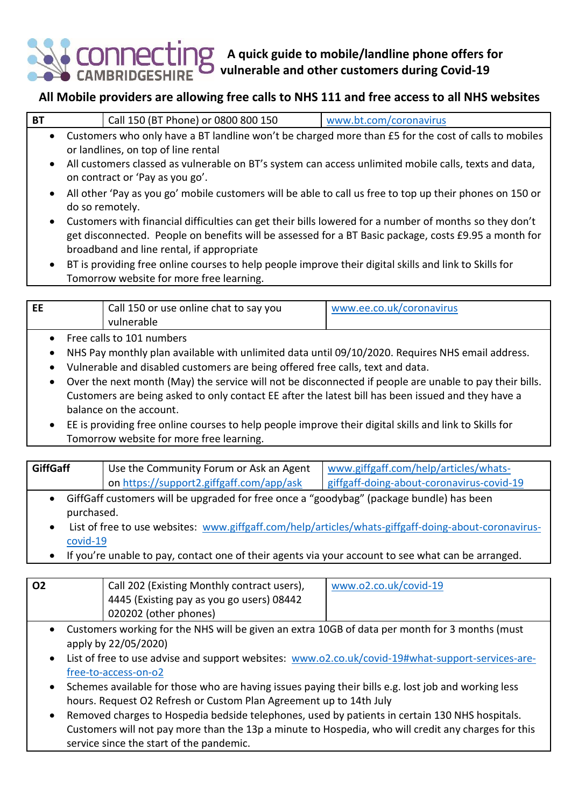**A quick guide to mobile/landline phone offers for vulnerable and other customers during Covid-19**

## **All Mobile providers are allowing free calls to NHS 111 and free access to all NHS websites**

| BT |                                                                                                      | Call 150 (BT Phone) or 0800 800 150                                                                            | www.bt.com/coronavirus |
|----|------------------------------------------------------------------------------------------------------|----------------------------------------------------------------------------------------------------------------|------------------------|
|    | Customers who only have a BT landline won't be charged more than £5 for the cost of calls to mobiles |                                                                                                                |                        |
|    | or landlines, on top of line rental                                                                  |                                                                                                                |                        |
|    |                                                                                                      | a all quetomente algebraic de proponente de protonece de proponente de la contrata de la protonece de la proto |                        |

- All customers classed as vulnerable on BT's system can access unlimited mobile calls, texts and data, on contract or 'Pay as you go'.
- All other 'Pay as you go' mobile customers will be able to call us free to top up their phones on 150 or do so remotely.
- Customers with financial difficulties can get their bills lowered for a number of months so they don't get disconnected. People on benefits will be assessed for a BT Basic package, costs £9.95 a month for broadband and line rental, if appropriate
- BT is providing free online courses to help people improve their digital skills and link to Skills for Tomorrow website for more free learning.

| <b>EE</b>                                                                                                                                                                                                                                                                                                                                                                                                                                                                            | Call 150 or use online chat to say you<br>vulnerable                                                                              | www.ee.co.uk/coronavirus |
|--------------------------------------------------------------------------------------------------------------------------------------------------------------------------------------------------------------------------------------------------------------------------------------------------------------------------------------------------------------------------------------------------------------------------------------------------------------------------------------|-----------------------------------------------------------------------------------------------------------------------------------|--------------------------|
| Free calls to 101 numbers<br>$\bullet$<br>NHS Pay monthly plan available with unlimited data until 09/10/2020. Requires NHS email address.<br>$\bullet$<br>Vulnerable and disabled customers are being offered free calls, text and data.<br>$\bullet$<br>Over the next month (May) the service will not be disconnected if people are unable to pay their bills.<br>$\bullet$<br>Customers are being asked to only contact EE after the latest bill has been issued and they have a |                                                                                                                                   |                          |
| $\bullet$                                                                                                                                                                                                                                                                                                                                                                                                                                                                            | balance on the account.<br>EE is providing free online courses to help people improve their digital skills and link to Skills for |                          |

Tomorrow website for more free learning.

| <b>GiffGaff</b> | Use the Community Forum or Ask an Agent   www.giffgaff.com/help/articles/whats- |                                           |
|-----------------|---------------------------------------------------------------------------------|-------------------------------------------|
|                 | on https://support2.giffgaff.com/app/ask                                        | giffgaff-doing-about-coronavirus-covid-19 |

- GiffGaff customers will be upgraded for free once a "goodybag" (package bundle) has been purchased.
- List of free to use websites: [www.giffgaff.com/help/articles/whats-giffgaff-doing-about-coronavirus](https://www.giffgaff.com/help/articles/whats-giffgaff-doing-about-coronavirus-covid-19)[covid-19](https://www.giffgaff.com/help/articles/whats-giffgaff-doing-about-coronavirus-covid-19)
- If you're unable to pay, contact one of their agents via your account to see what can be arranged.

| <b>O2</b>                                                                                                    | Call 202 (Existing Monthly contract users), | www.o2.co.uk/covid-19 |
|--------------------------------------------------------------------------------------------------------------|---------------------------------------------|-----------------------|
|                                                                                                              | 14445 (Existing pay as you go users) 08442  |                       |
|                                                                                                              | 020202 (other phones)                       |                       |
| Custom sus used the fauth of MIC will be stress and solved 40CB of shake is an installed fau Oursesthe funds |                                             |                       |

- Customers working for the NHS will be given an extra 10GB of data per month for 3 months (must apply by 22/05/2020)
- List of free to use advise and support websites: [www.o2.co.uk/covid-19#what-support-services-are](http://www.o2.co.uk/covid-19#what-support-services-are-free-to-access-on-o2)[free-to-access-on-o2](http://www.o2.co.uk/covid-19#what-support-services-are-free-to-access-on-o2)
- Schemes available for those who are having issues paying their bills e.g. lost job and working less hours. Request O2 Refresh or Custom Plan Agreement up to 14th July
- Removed charges to Hospedia bedside telephones, used by patients in certain 130 NHS hospitals. Customers will not pay more than the 13p a minute to Hospedia, who will credit any charges for this service since the start of the pandemic.